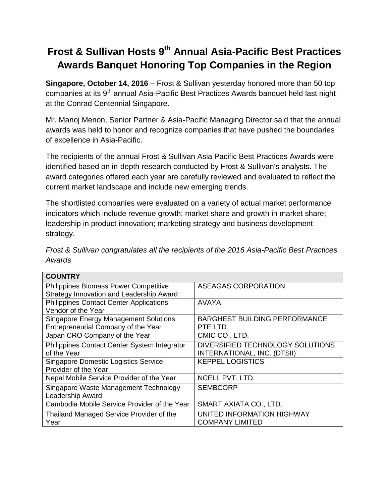## **Frost & Sullivan Hosts 9th Annual Asia-Pacific Best Practices Awards Banquet Honoring Top Companies in the Region**

**Singapore, October 14, 2016** – Frost & Sullivan yesterday honored more than 50 top companies at its 9<sup>th</sup> annual Asia-Pacific Best Practices Awards banquet held last night at the Conrad Centennial Singapore.

Mr. Manoj Menon, Senior Partner & Asia-Pacific Managing Director said that the annual awards was held to honor and recognize companies that have pushed the boundaries of excellence in Asia-Pacific.

The recipients of the annual Frost & Sullivan Asia Pacific Best Practices Awards were identified based on in-depth research conducted by Frost & Sullivan's analysts. The award categories offered each year are carefully reviewed and evaluated to reflect the current market landscape and include new emerging trends.

The shortlisted companies were evaluated on a variety of actual market performance indicators which include revenue growth; market share and growth in market share; leadership in product innovation; marketing strategy and business development strategy.

| Frost & Sullivan congratulates all the recipients of the 2016 Asia-Pacific Best Practices |  |
|-------------------------------------------------------------------------------------------|--|
| Awards                                                                                    |  |

| <b>COUNTRY</b>                                 |                                      |
|------------------------------------------------|--------------------------------------|
| Philippines Biomass Power Competitive          | <b>ASEAGAS CORPORATION</b>           |
| Strategy Innovation and Leadership Award       |                                      |
| <b>Philippines Contact Center Applications</b> | AVAYA                                |
| Vendor of the Year                             |                                      |
| <b>Singapore Energy Management Solutions</b>   | <b>BARGHEST BUILDING PERFORMANCE</b> |
| Entrepreneurial Company of the Year            | PTE LTD                              |
| Japan CRO Company of the Year                  | CMIC CO., LTD.                       |
| Philippines Contact Center System Integrator   | DIVERSIFIED TECHNOLOGY SOLUTIONS     |
| of the Year                                    | INTERNATIONAL, INC. (DTSII)          |
| <b>Singapore Domestic Logistics Service</b>    | <b>KEPPEL LOGISTICS</b>              |
| Provider of the Year                           |                                      |
| Nepal Mobile Service Provider of the Year      | <b>NCELL PVT. LTD.</b>               |
| Singapore Waste Management Technology          | <b>SEMBCORP</b>                      |
| Leadership Award                               |                                      |
| Cambodia Mobile Service Provider of the Year   | SMART AXIATA CO., LTD.               |
| Thailand Managed Service Provider of the       | UNITED INFORMATION HIGHWAY           |
| Year                                           | <b>COMPANY LIMITED</b>               |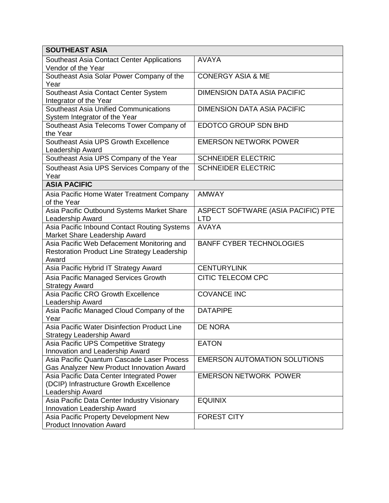| <b>SOUTHEAST ASIA</b>                                                                   |                                     |  |
|-----------------------------------------------------------------------------------------|-------------------------------------|--|
| Southeast Asia Contact Center Applications                                              | <b>AVAYA</b>                        |  |
| Vendor of the Year                                                                      |                                     |  |
| Southeast Asia Solar Power Company of the                                               | <b>CONERGY ASIA &amp; ME</b>        |  |
| Year                                                                                    |                                     |  |
| Southeast Asia Contact Center System<br>Integrator of the Year                          | <b>DIMENSION DATA ASIA PACIFIC</b>  |  |
| Southeast Asia Unified Communications                                                   | <b>DIMENSION DATA ASIA PACIFIC</b>  |  |
| System Integrator of the Year                                                           |                                     |  |
| Southeast Asia Telecoms Tower Company of                                                | EDOTCO GROUP SDN BHD                |  |
| the Year                                                                                |                                     |  |
| Southeast Asia UPS Growth Excellence                                                    | <b>EMERSON NETWORK POWER</b>        |  |
| Leadership Award                                                                        |                                     |  |
| Southeast Asia UPS Company of the Year                                                  | <b>SCHNEIDER ELECTRIC</b>           |  |
| Southeast Asia UPS Services Company of the                                              | <b>SCHNEIDER ELECTRIC</b>           |  |
| Year                                                                                    |                                     |  |
| <b>ASIA PACIFIC</b>                                                                     |                                     |  |
| Asia Pacific Home Water Treatment Company                                               | <b>AMWAY</b>                        |  |
| of the Year                                                                             |                                     |  |
| Asia Pacific Outbound Systems Market Share                                              | ASPECT SOFTWARE (ASIA PACIFIC) PTE  |  |
| Leadership Award                                                                        | <b>LTD</b>                          |  |
| Asia Pacific Inbound Contact Routing Systems                                            | <b>AVAYA</b>                        |  |
| Market Share Leadership Award                                                           |                                     |  |
| Asia Pacific Web Defacement Monitoring and                                              | <b>BANFF CYBER TECHNOLOGIES</b>     |  |
| Restoration Product Line Strategy Leadership<br>Award                                   |                                     |  |
| Asia Pacific Hybrid IT Strategy Award                                                   | <b>CENTURYLINK</b>                  |  |
|                                                                                         |                                     |  |
| Asia Pacific Managed Services Growth<br><b>Strategy Award</b>                           | <b>CITIC TELECOM CPC</b>            |  |
| Asia Pacific CRO Growth Excellence                                                      | <b>COVANCE INC</b>                  |  |
| Leadership Award                                                                        |                                     |  |
| Asia Pacific Managed Cloud Company of the                                               | <b>DATAPIPE</b>                     |  |
| Year                                                                                    |                                     |  |
| Asia Pacific Water Disinfection Product Line                                            | <b>DE NORA</b>                      |  |
| <b>Strategy Leadership Award</b>                                                        |                                     |  |
| Asia Pacific UPS Competitive Strategy                                                   | <b>EATON</b>                        |  |
| Innovation and Leadership Award                                                         |                                     |  |
| Asia Pacific Quantum Cascade Laser Process<br>Gas Analyzer New Product Innovation Award | <b>EMERSON AUTOMATION SOLUTIONS</b> |  |
| Asia Pacific Data Center Integrated Power                                               | <b>EMERSON NETWORK POWER</b>        |  |
| (DCIP) Infrastructure Growth Excellence                                                 |                                     |  |
| Leadership Award                                                                        |                                     |  |
| Asia Pacific Data Center Industry Visionary                                             | <b>EQUINIX</b>                      |  |
| Innovation Leadership Award                                                             |                                     |  |
| Asia Pacific Property Development New                                                   | <b>FOREST CITY</b>                  |  |
| <b>Product Innovation Award</b>                                                         |                                     |  |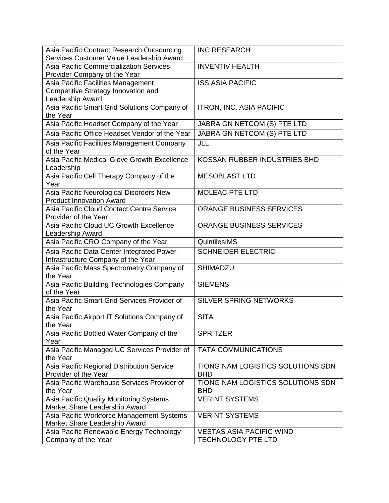| Asia Pacific Contract Research Outsourcing     | <b>INC RESEARCH</b>               |
|------------------------------------------------|-----------------------------------|
| Services Customer Value Leadership Award       |                                   |
| <b>Asia Pacific Commercialization Services</b> | <b>INVENTIV HEALTH</b>            |
| Provider Company of the Year                   |                                   |
| Asia Pacific Facilities Management             | <b>ISS ASIA PACIFIC</b>           |
| Competitive Strategy Innovation and            |                                   |
| Leadership Award                               |                                   |
| Asia Pacific Smart Grid Solutions Company of   | <b>ITRON, INC. ASIA PACIFIC</b>   |
| the Year                                       |                                   |
| Asia Pacific Headset Company of the Year       | JABRA GN NETCOM (S) PTE LTD       |
| Asia Pacific Office Headset Vendor of the Year | JABRA GN NETCOM (S) PTE LTD       |
| Asia Pacific Facilities Management Company     | JLL                               |
| of the Year                                    |                                   |
| Asia Pacific Medical Glove Growth Excellence   | KOSSAN RUBBER INDUSTRIES BHD      |
| Leadership                                     |                                   |
| Asia Pacific Cell Therapy Company of the       | <b>MESOBLAST LTD</b>              |
| Year                                           |                                   |
| Asia Pacific Neurological Disorders New        | <b>MOLEAC PTE LTD</b>             |
| <b>Product Innovation Award</b>                |                                   |
| Asia Pacific Cloud Contact Centre Service      | <b>ORANGE BUSINESS SERVICES</b>   |
| Provider of the Year                           |                                   |
| Asia Pacific Cloud UC Growth Excellence        | <b>ORANGE BUSINESS SERVICES</b>   |
| Leadership Award                               |                                   |
| Asia Pacific CRO Company of the Year           | QuintilesIMS                      |
| Asia Pacific Data Center Integrated Power      | <b>SCHNEIDER ELECTRIC</b>         |
| Infrastructure Company of the Year             |                                   |
| Asia Pacific Mass Spectrometry Company of      | <b>SHIMADZU</b>                   |
| the Year                                       |                                   |
| Asia Pacific Building Technologies Company     | <b>SIEMENS</b>                    |
| of the Year                                    |                                   |
| Asia Pacific Smart Grid Services Provider of   | <b>SILVER SPRING NETWORKS</b>     |
| the Year                                       |                                   |
| Asia Pacific Airport IT Solutions Company of   | <b>SITA</b>                       |
| the Year                                       |                                   |
| Asia Pacific Bottled Water Company of the      | <b>SPRITZER</b>                   |
| Year                                           |                                   |
| Asia Pacific Managed UC Services Provider of   | <b>TATA COMMUNICATIONS</b>        |
| the Year                                       |                                   |
| Asia Pacific Regional Distribution Service     | TIONG NAM LOGISTICS SOLUTIONS SDN |
| Provider of the Year                           | <b>BHD</b>                        |
| Asia Pacific Warehouse Services Provider of    | TIONG NAM LOGISTICS SOLUTIONS SDN |
| the Year                                       | <b>BHD</b>                        |
| Asia Pacific Quality Monitoring Systems        | <b>VERINT SYSTEMS</b>             |
| Market Share Leadership Award                  |                                   |
| Asia Pacific Workforce Management Systems      | <b>VERINT SYSTEMS</b>             |
| Market Share Leadership Award                  |                                   |
| Asia Pacific Renewable Energy Technology       | <b>VESTAS ASIA PACIFIC WIND</b>   |
| Company of the Year                            | <b>TECHNOLOGY PTE LTD</b>         |